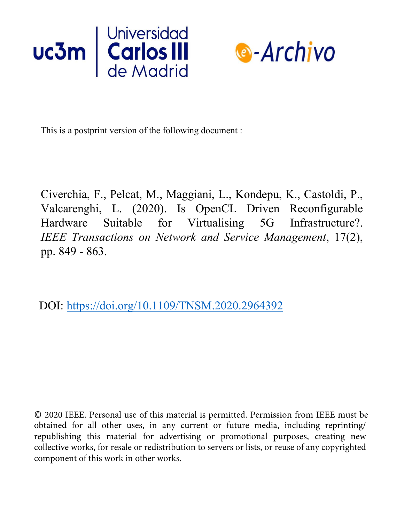



This is a postprint version of the following document :

Civerchia, F., Pelcat, M., Maggiani, L., Kondepu, K., Castoldi, P., Valcarenghi, L. (2020). Is OpenCL Driven Reconfigurable Hardware Suitable for Virtualising 5G Infrastructure?. *IEEE Transactions on Network and Service Management*, 17(2), pp. 849 - 863.

DOI: https://doi.org/10.1109/TNSM.2020.2964392

© 2020 IEEE. Personal use of this material is permitted. Permission from IEEE must be obtained for all other uses, in any current or future media, including reprinting/ republishing this material for advertising or promotional purposes, creating new collective works, for resale or redistribution to servers or lists, or reuse of any copyrighted component of this work in other works.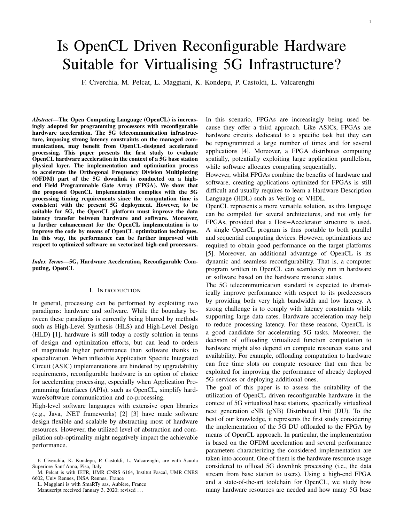# Is OpenCL Driven Reconfigurable Hardware Suitable for Virtualising 5G Infrastructure?

F. Civerchia, M. Pelcat, L. Maggiani, K. Kondepu, P. Castoldi, L. Valcarenghi

*Abstract*—The Open Computing Language (OpenCL) is increasingly adopted for programming processors with reconfigurable hardware acceleration. The 5G telecommunication infrastructure, imposing strong latency constraints on the managed communications, may benefit from OpenCL-designed accelerated processing. This paper presents the first study to evaluate OpenCL hardware acceleration in the context of a 5G base station physical layer. The implementation and optimization process to accelerate the Orthogonal Frequency Division Multiplexing (OFDM) part of the 5G downlink is conducted on a highend Field Programmable Gate Array (FPGA). We show that the proposed OpenCL implementation complies with the 5G processing timing requirements since the computation time is consistent with the present 5G deployment. However, to be suitable for 5G, the OpenCL platform must improve the data latency transfer between hardware and software. Moreover, a further enhancement for the OpenCL implementation is to improve the code by means of OpenCL optimization techniques. In this way, the performance can be further improved with respect to optimized software on vectorized high-end processors.

*Index Terms*—5G, Hardware Acceleration, Reconfigurable Computing, OpenCL

## I. INTRODUCTION

In general, processing can be performed by exploiting two paradigms: hardware and software. While the boundary between these paradigms is currently being blurred by methods such as High-Level Synthesis (HLS) and High-Level Design (HLD) [1], hardware is still today a costly solution in terms of design and optimization efforts, but can lead to orders of magnitude higher performance than software thanks to specialization. When inflexible Application Specific Integrated Circuit (ASIC) implementations are hindered by upgradability requirements, reconfigurable hardware is an option of choice for accelerating processing, especially when Application Programming Interfaces (APIs), such as OpenCL, simplify hardware/software communication and co-processing.

High-level software languages with extensive open libraries (e.g., Java, .NET frameworks) [2] [3] have made software design flexible and scalable by abstracting most of hardware resources. However, the utilized level of abstraction and compilation sub-optimality might negatively impact the achievable performance.

L. Maggiani is with SmaRTy sas, Aubière, France Manuscript received January 3, 2020; revised ...

In this scenario, FPGAs are increasingly being used because they offer a third approach. Like ASICs, FPGAs are hardware circuits dedicated to a specific task but they can be reprogrammed a large number of times and for several applications [4]. Moreover, a FPGA distributes computing spatially, potentially exploiting large application parallelism, while software allocates computing sequentially.

However, whilst FPGAs combine the benefits of hardware and software, creating applications optimized for FPGAs is still difficult and usually requires to learn a Hardware Description Language (HDL) such as Verilog or VHDL.

OpenCL represents a more versatile solution, as this language can be compiled for several architectures, and not only for FPGAs, provided that a Host+Accelerator structure is used. A single OpenCL program is thus portable to both parallel and sequential computing devices. However, optimizations are required to obtain good performance on the target platforms [5]. Moreover, an additional advantage of OpenCL is its dynamic and seamless reconfigurability. That is, a computer program written in OpenCL can seamlessly run in hardware or software based on the hardware resource status.

The 5G telecommunication standard is expected to dramatically improve performance with respect to its predecessors by providing both very high bandwidth and low latency. A strong challenge is to comply with latency constraints while supporting large data rates. Hardware acceleration may help to reduce processing latency. For these reasons, OpenCL is a good candidate for accelerating 5G tasks. Moreover, the decision of offloading virtualized function computation to hardware might also depend on compute resources status and availability. For example, offloading computation to hardware can free time slots on compute resource that can then be exploited for improving the performance of already deployed 5G services or deploying additional ones.

The goal of this paper is to assess the suitability of the utilization of OpenCL driven reconfigurable hardware in the context of 5G virtualized base stations, specifically virtualized next generation eNB (gNB) Distributed Unit (DU). To the best of our knowledge, it represents the first study considering the implementation of the 5G DU offloaded to the FPGA by means of OpenCL approach. In particular, the implementation is based on the OFDM acceleration and several performance parameters characterizing the considered implementation are taken into account. One of them is the hardware resource usage considered to offload 5G downlink processing (i.e., the data stream from base station to users). Using a high-end FPGA and a state-of-the-art toolchain for OpenCL, we study how many hardware resources are needed and how many 5G base

F. Civerchia, K. Kondepu, P. Castoldi, L. Valcarenghi, are with Scuola Superiore Sant'Anna, Pisa, Italy

M. Pelcat is with IETR, UMR CNRS 6164, Institut Pascal, UMR CNRS 6602, Univ Rennes, INSA Rennes, France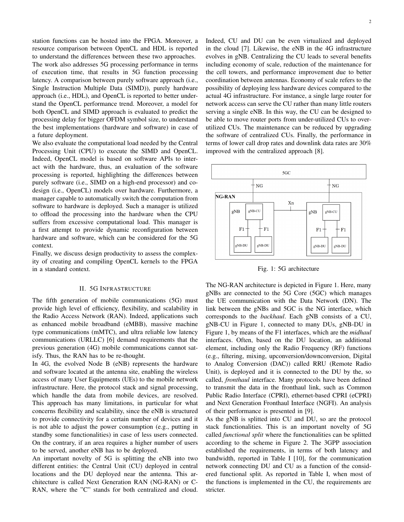station functions can be hosted into the FPGA. Moreover, a resource comparison between OpenCL and HDL is reported to understand the differences between these two approaches. The work also addresses 5G processing performance in terms of execution time, that results in 5G function processing latency. A comparison between purely software approach (i.e., Single Instruction Multiple Data (SIMD)), purely hardware approach (i.e., HDL), and OpenCL is reported to better understand the OpenCL performance trend. Moreover, a model for both OpenCL and SIMD approach is evaluated to predict the processing delay for bigger OFDM symbol size, to understand the best implementations (hardware and software) in case of a future deployment.

We also evaluate the computational load needed by the Central Processing Unit (CPU) to execute the SIMD and OpenCL. Indeed, OpenCL model is based on software APIs to interact with the hardware, thus, an evaluation of the software processing is reported, highlighting the differences between purely software (i.e., SIMD on a high-end processor) and codesign (i.e., OpenCL) models over hardware. Furthermore, a manager capable to automatically switch the computation from software to hardware is deployed. Such a manager is utilized to offload the processing into the hardware when the CPU suffers from excessive computational load. This manager is a first attempt to provide dynamic reconfiguration between hardware and software, which can be considered for the 5G context.

Finally, we discuss design productivity to assess the complexity of creating and compiling OpenCL kernels to the FPGA in a standard context.

#### II. 5G INFRASTRUCTURE

The fifth generation of mobile communications (5G) must provide high level of efficiency, flexibility, and scalability in the Radio Access Network (RAN). Indeed, applications such as enhanced mobile broadband (eMBB), massive machine type communications (mMTC), and ultra reliable low latency communications (URLLC) [6] demand requirements that the previous generation (4G) mobile communications cannot satisfy. Thus, the RAN has to be re-thought.

In 4G, the evolved Node B (eNB) represents the hardware and software located at the antenna site, enabling the wireless access of many User Equipments (UEs) to the mobile network infrastructure. Here, the protocol stack and signal processing, which handle the data from mobile devices, are resolved. This approach has many limitations, in particular for what concerns flexibility and scalability, since the eNB is structured to provide connectivity for a certain number of devices and it is not able to adjust the power consumption (e.g., putting in standby some functionalities) in case of less users connected. On the contrary, if an area requires a higher number of users to be served, another eNB has to be deployed.

An important novelty of 5G is splitting the eNB into two different entities: the Central Unit (CU) deployed in central locations and the DU deployed near the antenna. This architecture is called Next Generation RAN (NG-RAN) or C-RAN, where the "C" stands for both centralized and cloud. Indeed, CU and DU can be even virtualized and deployed in the cloud [7]. Likewise, the eNB in the 4G infrastructure evolves in gNB. Centralizing the CU leads to several benefits including economy of scale, reduction of the maintenance for the cell towers, and performance improvement due to better coordination between antennas. Economy of scale refers to the possibility of deploying less hardware devices compared to the actual 4G infrastructure. For instance, a single large router for network access can serve the CU rather than many little routers serving a single eNB. In this way, the CU can be designed to be able to move router ports from under-utilized CUs to overutilized CUs. The maintenance can be reduced by upgrading the software of centralized CUs. Finally, the performance in terms of lower call drop rates and downlink data rates are 30% improved with the centralized approach [8].



Fig. 1: 5G architecture

The NG-RAN architecture is depicted in Figure 1. Here, many gNBs are connected to the 5G Core (5GC) which manages the UE communication with the Data Network (DN). The link between the gNBs and 5GC is the NG interface, which corresponds to the *backhaul*. Each gNB consists of a CU, gNB-CU in Figure 1, connected to many DUs, gNB-DU in Figure 1, by means of the F1 interfaces, which are the *midhaul* interfaces. Often, based on the DU location, an additional element, including only the Radio Frequency (RF) functions (e.g., filtering, mixing, upconversion/downconversion, Digital to Analog Conversion (DAC)) called RRU (Remote Radio Unit), is deployed and it is connected to the DU by the, so called, *fronthaul* interface. Many protocols have been defined to transmit the data in the fronthaul link, such as Common Public Radio Interface (CPRI), ethernet-based CPRI (eCPRI) and Next Generation Fronthaul Interface (NGFI). An analysis of their performance is presented in [9].

As the gNB is splitted into CU and DU, so are the protocol stack functionalities. This is an important novelty of 5G called *functional split* where the functionalities can be splitted according to the scheme in Figure 2. The 3GPP association established the requirements, in terms of both latency and bandwidth, reported in Table I [10], for the communication network connecting DU and CU as a function of the considered functional split. As reported in Table I, when most of the functions is implemented in the CU, the requirements are stricter.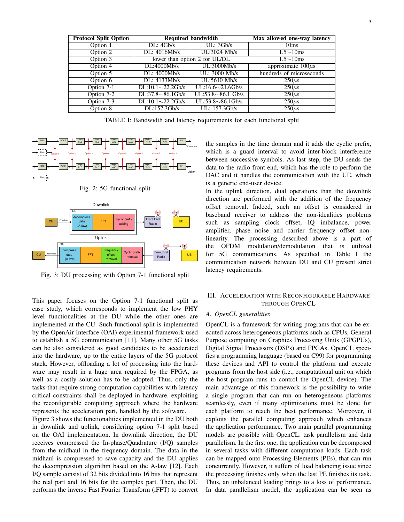| <b>Protocol Split Option</b> | <b>Required bandwidth</b> |                               | Max allowed one-way latency |
|------------------------------|---------------------------|-------------------------------|-----------------------------|
| Option 1                     | DL: 4Gb/s                 | UL: 3Gb/s                     | 10 <sub>ms</sub>            |
| Option 2                     | DL: 4016Mb/s              | UL:3024 Mb/s                  | $1.5 \sim 10$ ms            |
| Option 3                     |                           | lower than option 2 for UL/DL | $1.5 \sim 10$ ms            |
| Option 4                     | DL:4000Mb/s               | UL:3000Mb/s                   | approximate $100\mu s$      |
| Option 5                     | DL: 4000Mb/s              | UL: 3000 Mb/s                 | hundreds of microseconds    |
| Option 6                     | DL: 4133Mb/s              | UL:5640 Mb/s                  | $250\mu s$                  |
| Option 7-1                   | $DL:10.1 \sim 22.2$ Gb/s  | $UL:16.6 \sim 21.6$ Gb/s      | $250\mu s$                  |
| Option 7-2                   | $DL:37.8\sim86.1Gb/s$     | $UL:53.8 \sim 86.1$ Gb/s      | $250\mu s$                  |
| Option $7-3$                 | $DL:10.1 \sim 22.2$ Gb/s  | $UL:53.8 \sim 86.1$ Gb/s      | $250\mu s$                  |
| Option 8                     | DL:157.3Gb/s              | UL: 157.3Gb/s                 | $250\mu s$                  |

TABLE I: Bandwidth and latency requirements for each functional split



Fig. 2: 5G functional split



Fig. 3: DU processing with Option 7-1 functional split

This paper focuses on the Option 7-1 functional split as case study, which corresponds to implement the low PHY level functionalities at the DU while the other ones are implemented at the CU. Such functional split is implemented by the OpenAir Interface (OAI) experimental framework used to establish a 5G communication [11]. Many other 5G tasks can be also considered as good candidates to be accelerated into the hardware, up to the entire layers of the 5G protocol stack. However, offloading a lot of processing into the hardware may result in a huge area required by the FPGA, as well as a costly solution has to be adopted. Thus, only the tasks that require strong computation capabilities with latency critical constraints shall be deployed in hardware, exploiting the reconfigurable computing approach where the hardware represents the acceleration part, handled by the software.

Figure 3 shows the functionalities implemented in the DU both in downlink and uplink, considering option 7-1 split based on the OAI implementation. In downlink direction, the DU receives compressed the In-phase/Quadrature (I/Q) samples from the midhaul in the frequency domain. The data in the midhaul is compressed to save capacity and the DU applies the decompression algorithm based on the A-law [12]. Each I/Q sample consist of 32 bits divided into 16 bits that represent the real part and 16 bits for the complex part. Then, the DU performs the inverse Fast Fourier Transform (iFFT) to convert

the samples in the time domain and it adds the cyclic prefix, which is a guard interval to avoid inter-block interference between successive symbols. As last step, the DU sends the data to the radio front end, which has the role to perform the DAC and it handles the communication with the UE, which is a generic end-user device.

In the uplink direction, dual operations than the downlink direction are performed with the addition of the frequency offset removal. Indeed, such an offset is considered in baseband receiver to address the non-idealities problems such as sampling clock offset, IQ imbalance, power amplifier, phase noise and carrier frequency offset nonlinearity. The processing described above is a part of the OFDM modulation/demodulation that is utilized for 5G communications. As specified in Table I the communication network between DU and CU present strict latency requirements.

# III. ACCELERATION WITH RECONFIGURABLE HARDWARE THROUGH OPENCL

# *A. OpenCL generalities*

OpenCL is a framework for writing programs that can be executed across heterogeneous platforms such as CPUs, General Purpose computing on Graphics Processing Units (GPGPUs), Digital Signal Processors (DSPs) and FPGAs. OpenCL specifies a programming language (based on C99) for programming these devices and API to control the platform and execute programs from the host side (i.e., computational unit on which the host program runs to control the OpenCL device). The main advantage of this framework is the possibility to write a single program that can run on heterogeneous platforms seamlessly, even if many optimizations must be done for each platform to reach the best performance. Moreover, it exploits the parallel computing approach which enhances the application performance. Two main parallel programming models are possible with OpenCL: task parallelism and data parallelism. In the first one, the application can be decomposed in several tasks with different computation loads. Each task can be mapped onto Processing Elements (PEs), that can run concurrently. However, it suffers of load balancing issue since the processing finishes only when the last PE finishes its task. Thus, an unbalanced loading brings to a loss of performance. In data parallelism model, the application can be seen as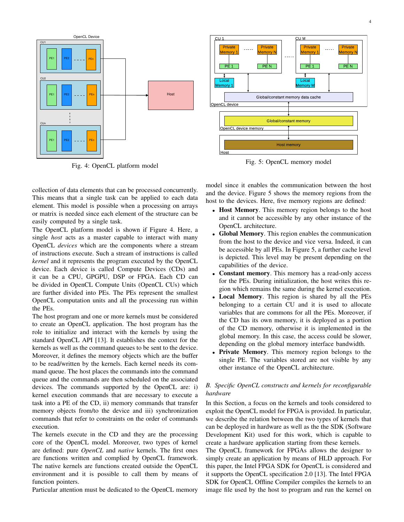

Fig. 4: OpenCL platform model

collection of data elements that can be processed concurrently. This means that a single task can be applied to each data element. This model is possible when a processing on arrays or matrix is needed since each element of the structure can be easily computed by a single task.

The OpenCL platform model is shown if Figure 4. Here, a single *host* acts as a master capable to interact with many OpenCL *devices* which are the components where a stream of instructions execute. Such a stream of instructions is called *kernel* and it represents the program executed by the OpenCL device. Each device is called Compute Devices (CDs) and it can be a CPU, GPGPU, DSP or FPGA. Each CD can be divided in OpenCL Compute Units (OpenCL CUs) which are further divided into PEs. The PEs represent the smallest OpenCL computation units and all the processing run within the PEs.

The host program and one or more kernels must be considered to create an OpenCL application. The host program has the role to initialize and interact with the kernels by using the standard OpenCL API [13]. It establishes the context for the kernels as well as the command queues to be sent to the device. Moreover, it defines the memory objects which are the buffer to be read/written by the kernels. Each kernel needs its command queue. The host places the commands into the command queue and the commands are then scheduled on the associated devices. The commands supported by the OpenCL are: i) kernel execution commands that are necessary to execute a task into a PE of the CD, ii) memory commands that transfer memory objects from/to the device and iii) synchronization commands that refer to constraints on the order of commands execution.

The kernels execute in the CD and they are the processing core of the OpenCL model. Moreover, two types of kernel are defined: pure *OpenCL* and *native* kernels. The first ones are functions written and complied by OpenCL framework. The native kernels are functions created outside the OpenCL environment and it is possible to call them by means of function pointers.

Particular attention must be dedicated to the OpenCL memory



Fig. 5: OpenCL memory model

model since it enables the communication between the host and the device. Figure 5 shows the memory regions from the host to the devices. Here, five memory regions are defined:

- Host Memory. This memory region belongs to the host and it cannot be accessible by any other instance of the OpenCL architecture.
- Global Memory. This region enables the communication from the host to the device and vice versa. Indeed, it can be accessible by all PEs. In Figure 5, a further cache level is depicted. This level may be present depending on the capabilities of the device.
- Constant memory. This memory has a read-only access for the PEs. During initialization, the host writes this region which remains the same during the kernel execution.
- Local Memory. This region is shared by all the PEs belonging to a certain CU and it is used to allocate variables that are commons for all the PEs. Moreover, if the CD has its own memory, it is deployed as a portion of the CD memory, otherwise it is implemented in the global memory. In this case, the access could be slower, depending on the global memory interface bandwidth.
- Private Memory. This memory region belongs to the single PE. The variables stored are not visible by any other instance of the OpenCL architecture.

## *B. Specific OpenCL constructs and kernels for reconfigurable hardware*

In this Section, a focus on the kernels and tools considered to exploit the OpenCL model for FPGA is provided. In particular, we describe the relation between the two types of kernels that can be deployed in hardware as well as the the SDK (Software Development Kit) used for this work, which is capable to create a hardware application starting from these kernels.

The OpenCL framework for FPGAs allows the designer to simply create an application by means of HLD approach. For this paper, the Intel FPGA SDK for OpenCL is considered and it supports the OpenCL specification 2.0 [13]. The Intel FPGA SDK for OpenCL Offline Compiler compiles the kernels to an image file used by the host to program and run the kernel on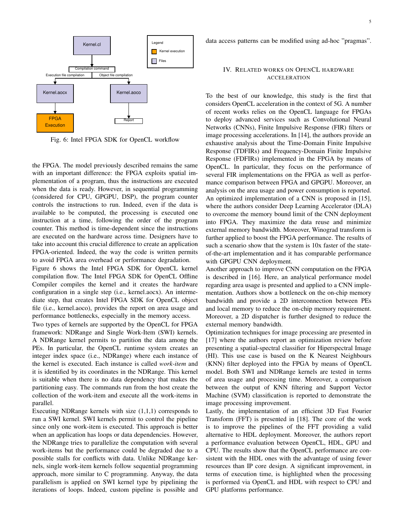

Report FPGA **Execution** Fig. 6: Intel FPGA SDK for OpenCL workflow

the FPGA. The model previously described remains the same with an important difference: the FPGA exploits spatial implementation of a program, thus the instructions are executed when the data is ready. However, in sequential programming (considered for CPU, GPGPU, DSP), the program counter controls the instructions to run. Indeed, even if the data is available to be computed, the processing is executed one instruction at a time, following the order of the program counter. This method is time-dependent since the instructions are executed on the hardware across time. Designers have to take into account this crucial difference to create an application FPGA-oriented. Indeed, the way the code is written permits to avoid FPGA area overhead or performance degradation.

Figure 6 shows the Intel FPGA SDK for OpenCL kernel compilation flow. The Intel FPGA SDK for OpenCL Offline Compiler compiles the kernel and it creates the hardware configuration in a single step (i.e., kernel.aocx). An intermediate step, that creates Intel FPGA SDK for OpenCL object file (i.e., kernel.aoco), provides the report on area usage and performance bottlenecks, especially in the memory access.

Two types of kernels are supported by the OpenCL for FPGA framework: NDRange and Single Work-Item (SWI) kernels. A NDRange kernel permits to partition the data among the PEs. In particular, the OpenCL runtime system creates an integer index space (i.e., NDRange) where each instance of the kernel is executed. Each instance is called *work-item* and it is identified by its coordinates in the NDRange. This kernel is suitable when there is no data dependency that makes the partitioning easy. The commands run from the host create the collection of the work-item and execute all the work-items in parallel.

Executing NDRange kernels with size (1,1,1) corresponds to run a SWI kernel. SWI kernels permit to control the pipeline since only one work-item is executed. This approach is better when an application has loops or data dependencies. However, the NDRange tries to parallelize the computation with several work-items but the performance could be degraded due to a possible stalls for conflicts with data. Unlike NDRange kernels, single work-item kernels follow sequential programming approach, more similar to C programming. Anyway, the data parallelism is applied on SWI kernel type by pipelining the iterations of loops. Indeed, custom pipeline is possible and

data access patterns can be modified using ad-hoc "pragmas".

# IV. RELATED WORKS ON OPENCL HARDWARE ACCELERATION

To the best of our knowledge, this study is the first that considers OpenCL acceleration in the context of 5G. A number of recent works relies on the OpenCL language for FPGAs to deploy advanced services such as Convolutional Neural Networks (CNNs), Finite Impulsive Response (FIR) filters or image processing accelerations. In [14], the authors provide an exhaustive analysis about the Time-Domain Finite Impulsive Response (TDFIRs) and Frequency-Domain Finite Impulsive Response (FDFIRs) implemented in the FPGA by means of OpenCL. In particular, they focus on the performance of several FIR implementations on the FPGA as well as performance comparison between FPGA and GPGPU. Moreover, an analysis on the area usage and power consumption is reported. An optimized implementation of a CNN is proposed in [15], where the authors consider Deep Learning Accelerator (DLA) to overcome the memory bound limit of the CNN deployment into FPGA. They maximize the data reuse and minimize external memory bandwidth. Moreover, Winograd transform is further applied to boost the FPGA performance. The results of such a scenario show that the system is 10x faster of the stateof-the-art implementation and it has comparable performance with GPGPU CNN deployment.

Another approach to improve CNN computation on the FPGA is described in [16]. Here, an analytical performance model regarding area usage is presented and applied to a CNN implementation. Authors show a bottleneck on the on-chip memory bandwidth and provide a 2D interconnection between PEs and local memory to reduce the on-chip memory requirement. Moreover, a 2D dispatcher is further designed to reduce the external memory bandwidth.

Optimization techniques for image processing are presented in [17] where the authors report an optimization review before presenting a spatial-spectral classifier for Hiperspectral Image (HI). This use case is based on the K Nearest Neighbours (KNN) filter deployed into the FPGA by means of OpenCL model. Both SWI and NDRange kernels are tested in terms of area usage and processing time. Moreover, a comparison between the output of KNN filtering and Support Vector Machine (SVM) classification is reported to demonstrate the image processing improvement.

Lastly, the implementation of an efficient 3D Fast Fourier Transform (FFT) is presented in [18]. The core of the work is to improve the pipelines of the FFT providing a valid alternative to HDL deployment. Moreover, the authors report a performance evaluation between OpenCL, HDL, GPU and CPU. The results show that the OpenCL performance are consistent with the HDL ones with the advantage of using fewer resources than IP core design. A significant improvement, in terms of execution time, is highlighted when the processing is performed via OpenCL and HDL with respect to CPU and GPU platforms performance.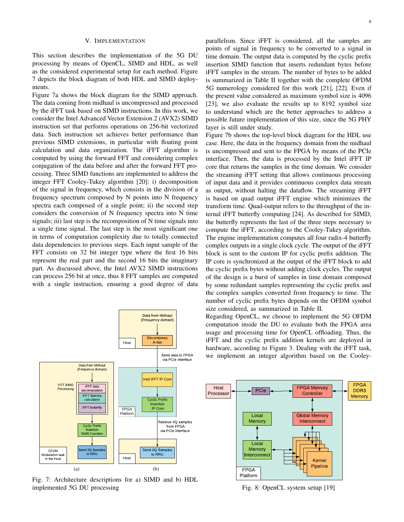#### V. IMPLEMENTATION

This section describes the implementation of the 5G DU processing by means of OpenCL, SIMD and HDL, as well as the considered experimental setup for each method. Figure 7 depicts the block diagram of both HDL and SIMD deployments.

Figure 7a shows the block diagram for the SIMD approach. The data coming from midhaul is uncompressed and processed by the iFFT task based on SIMD instructions. In this work, we consider the Intel Advanced Vector Extension 2 (AVX2) SIMD instruction set that performs operations on 256-bit vectorized data. Such instruction set achieves better performance than previous SIMD extensions, in particular with floating point calculation and data organization. The iFFT algorithm is computed by using the forward FFT and considering complex conjugation of the data before and after the forward FFT processing. Three SIMD functions are implemented to address the integer FFT Cooley-Tukey algorithm [20]: i) decomposition of the signal in frequency, which consists in the division of a frequency spectrum composed by N points into N frequency spectra each composed of a single point; ii) the second step considers the conversion of N frequency spectra into N time signals; iii) last step is the recomposition of N time signals into a single time signal. The last step is the most significant one in terms of computation complexity due to totally connected data dependencies to previous steps. Each input sample of the FFT consists on 32 bit integer type where the first 16 bits represent the real part and the second 16 bits the imaginary part. As discussed above, the Intel AVX2 SIMD instructions can process 256 bit at once, thus 8 FFT samples are computed with a single instruction, ensuring a good degree of data



Fig. 7: Architecture descriptions for a) SIMD and b) HDL implemented 5G DU processing

parallelism. Since iFFT is considered, all the samples are points of signal in frequency to be converted to a signal in time domain. The output data is computed by the cyclic prefix insertion SIMD function that inserts redundant bytes before iFFT samples in the stream. The number of bytes to be added is summarized in Table II together with the complete OFDM 5G numerology considered for this work [21], [22]. Even if the present value considered as maximum symbol size is 4096 [23], we also evaluate the results up to 8192 symbol size to understand which are the better approaches to address a possible future implementation of this size, since the 5G PHY layer is still under study.

Figure 7b shows the top-level block diagram for the HDL use case. Here, the data in the frequency domain from the midhaul is uncompressed and sent to the FPGA by means of the PCIe interface. Then, the data is processed by the Intel iFFT IP core that returns the samples in the time domain. We consider the streaming iFFT setting that allows continuous processing of input data and it provides continuous complex data stream as output, without halting the dataflow. The streaming iFFT is based on quad output iFFT engine which minimizes the transform time. Quad-output refers to the throughput of the internal iFFT butterfly computing [24]. As described for SIMD, the butterfly represents the last of the three steps necessary to compute the iFFT, according to the Cooley-Tukey algorithm. The engine implementation computes all four radix-4 butterfly complex outputs in a single clock cycle. The output of the iFFT block is sent to the custom IP for cyclic prefix addition. The IP core is synchronized at the output of the iFFT block to add the cyclic prefix bytes without adding clock cycles. The output of the design is a burst of samples in time domain composed by some redundant samples representing the cyclic prefix and the complex samples converted from frequency to time. The number of cyclic prefix bytes depends on the OFDM symbol size considered, as summarized in Table II.

Regarding OpenCL, we choose to implement the 5G OFDM computation inside the DU to evaluate both the FPGA area usage and processing time for OpenCL offloading. Thus, the iFFT and the cyclic prefix addition kernels are deployed in hardware, according to Figure 3. Dealing with the iFFT task, we implement an integer algorithm based on the Cooley-



Fig. 8: OpenCL system setup [19]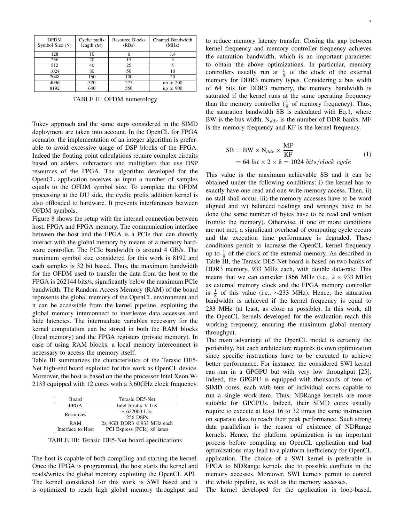| <b>OFDM</b><br>Symbol Size (N) | Cyclic prefix<br>length $(M)$ | Resource Blocks<br>(RBs) | Channel Bandwidth<br>(MHz) |
|--------------------------------|-------------------------------|--------------------------|----------------------------|
| 128                            | 10                            |                          | 1.4                        |
| 256                            | 20                            | 15                       |                            |
| 512                            | 40                            | 25                       |                            |
| 1024                           | 80                            | 50                       | 10                         |
| 2048                           | 160                           | 100                      | 20                         |
| 4096                           | 320                           | 275                      | up to $200$                |
| 8192                           | 640                           | 550                      | up to $900$                |

TABLE II: OFDM numerology

Tukey approach and the same steps considered in the SIMD deployment are taken into account. In the OpenCL for FPGA scenario, the implementation of an integer algorithm is preferable to avoid excessive usage of DSP blocks of the FPGA. Indeed the floating point calculations require complex circuits based on adders, subtractors and multipliers that use DSP resources of the FPGA. The algorithm developed for the OpenCL application receives as input a number of samples equals to the OFDM symbol size. To complete the OFDM processing at the DU side, the cyclic prefix addition kernel is also offloaded to hardware. It prevents interferences between OFDM symbols.

Figure 8 shows the setup with the internal connection between host, FPGA and FPGA memory. The communication interface between the host and the FPGA is a PCIe that can directly interact with the global memory by means of a memory hardware controller. The PCIe bandwidth is around 4 GB/s. The maximum symbol size considered for this work is 8192 and each samples is 32 bit based. Thus, the maximum bandwidth for the OFDM used to transfer the data from the host to the FPGA is 262144 bits/s, significantly below the maximum PCIe bandwidth. The Random Access Memory (RAM) of the board represents the global memory of the OpenCL environment and it can be accessible from the kernel pipeline, exploiting the global memory interconnect to interleave data accesses and hide latencies. The intermediate variables necessary for the kernel computation can be stored in both the RAM blocks (local memory) and the FPGA registers (private memory). In case of using RAM blocks, a local memory interconnect is necessary to access the memory itself.

Table III summarizes the characteristics of the Terasic DE5- Net high-end board exploited for this work as OpenCL device. Moreover, the host is based on the the processor Intel Xeon W-2133 equipped with 12 cores with a 3.60GHz clock frequency.

| Board                                            | Terasic DE5-Net             |  |  |
|--------------------------------------------------|-----------------------------|--|--|
| <b>FPGA</b>                                      | Intel Stratix V GX          |  |  |
|                                                  | $\sim$ 622000 LEs           |  |  |
| Resources                                        | 256 DSPs                    |  |  |
| <b>RAM</b>                                       | $2x$ 4GB DDR3 @933 MHz each |  |  |
| PCI Express (PCIe) x8 lanes<br>Interface to Host |                             |  |  |

TABLE III: Terasic DE5-Net board specifications

The host is capable of both compiling and starting the kernel. Once the FPGA is programmed, the host starts the kernel and reads/writes the global memory exploiting the OpenCL API. The kernel considered for this work is SWI based and it is optimized to reach high global memory throughput and 7

to reduce memory latency transfer. Closing the gap between kernel frequency and memory controller frequency achieves the saturation bandwidth, which is an important parameter to obtain the above optimizations. In particular, memory controllers usually run at  $\frac{1}{8}$  of the clock of the external memory for DDR3 memory types. Considering a bus width of 64 bits for DDR3 memory, the memory bandwidth is saturated if the kernel runs at the same operating frequency than the memory controller  $(\frac{1}{8}$  of memory frequency). Thus, the saturation bandwidth SB is calculated with Eq.1, where BW is the bus width,  $N_{ddr}$  is the number of DDR banks, MF is the memory frequency and KF is the kernel frequency.

$$
SB = BW \times N_{ddr} \times \frac{MF}{KF}
$$
  
= 64 bit × 2 × 8 = 1024 bits/clock cycle (1)

This value is the maximum achievable SB and it can be obtained under the following conditions: i) the kernel has to exactly have one read and one write memory access. Then, ii) no stall shall occur, iii) the memory accesses have to be word aligned and iv) balanced readings and writings have to be done (the same number of bytes have to be read and written from/to the memory). Otherwise, if one or more conditions are not met, a significant overhead of computing cycle occurs and the execution time performance is degraded. These conditions permit to increase the OpenCL kernel frequency up to  $\frac{1}{8}$  of the clock of the external memory. As described in Table III, the Terasic DE5-Net board is based on two banks of DDR3 memory, 933 MHz each, with double data-rate. This means that we can consider 1866 MHz (i.e.,  $2 \times 933$  MHz) as external memory clock and the FPGA memory controller is  $\frac{1}{8}$  of this value (i.e., ~233 MHz). Hence, the saturation bandwidth is achieved if the kernel frequency is equal to 233 MHz (at least, as close as possible). In this work, all the OpenCL kernels developed for the evaluation reach this working frequency, ensuring the maximum global memory throughput.

The main advantage of the OpenCL model is certainly the portability, but each architecture requires its own optimization since specific instructions have to be executed to achieve better performance. For instance, the considered SWI kernel can run in a GPGPU but with very low throughput [25]. Indeed, the GPGPU is equipped with thousands of tens of SIMD cores, each with tens of individual cores capable to run a single work-item. Thus, NDRange kernels are more suitable for GPGPUs. Indeed, their SIMD cores usually require to execute at least 16 to 32 times the same instruction on separate data to reach their peak performance. Such strong data parallelism is the reason of existence of NDRange kernels. Hence, the platform optimization is an important process before compiling an OpenCL application and bad optimizations may lead to a platform inefficiency for OpenCL application. The choice of a SWI kernel is preferable in FPGA to NDRange kernels due to possible conflicts in the memory accesses. Moreover, SWI kernels permit to control the whole pipeline, as well as the memory accesses.

The kernel developed for the application is loop-based.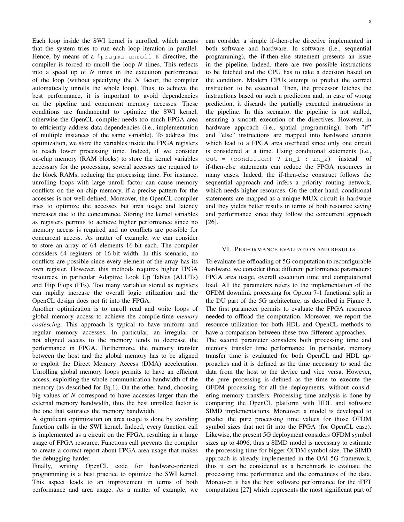8

Each loop inside the SWI kernel is unrolled, which means that the system tries to run each loop iteration in parallel. Hence, by means of a #pragma unroll N directive, the compiler is forced to unroll the loop *N* times. This reflects into a speed up of *N* times in the execution performance of the loop (without specifying the *N* factor, the compiler automatically unrolls the whole loop). Thus, to achieve the best performance, it is important to avoid dependencies on the pipeline and concurrent memory accesses. These conditions are fundamental to optimize the SWI kernel, otherwise the OpenCL compiler needs too much FPGA area to efficiently address data dependencies (i.e., implementation of multiple instances of the same variable). To address this optimization, we store the variables inside the FPGA registers to reach lower processing time. Indeed, if we consider on-chip memory (RAM blocks) to store the kernel variables necessary for the processing, several accesses are required to the block RAMs, reducing the processing time. For instance, unrolling loops with large unroll factor can cause memory conflicts on the on-chip memory, if a precise pattern for the accesses is not well-defined. Moreover, the OpenCL compiler tries to optimize the accesses but area usage and latency increases due to the concurrence. Storing the kernel variables as registers permits to achieve higher performance since no memory access is required and no conflicts are possible for concurrent access. As matter of example, we can consider to store an array of 64 elements 16-bit each. The compiler considers 64 registers of 16-bit width. In this scenario, no conflicts are possible since every element of the array has its own register. However, this methods requires higher FPGA resources, in particular Adaptive Look Up Tables (ALUTs) and Flip Flops (FFs). Too many variables stored as registers can rapidly increase the overall logic utilization and the OpenCL design does not fit into the FPGA.

Another optimization is to unroll read and write loops of global memory access to achieve the compile-time *memory coalescing*. This approach is typical to have uniform and regular memory accesses. In particular, an irregular or not aligned access to the memory tends to decrease the performance in FPGA. Furthermore, the memory transfer between the host and the global memory has to be aligned to exploit the Direct Memory Access (DMA) acceleration. Unrolling global memory loops permits to have an efficient access, exploiting the whole communication bandwidth of the memory (as described for Eq.1). On the other hand, choosing big values of *N* correspond to have accesses larger than the external memory bandwidth, thus the best unrolled factor is the one that saturates the memory bandwidth.

A significant optimization on area usage is done by avoiding function calls in the SWI kernel. Indeed, every function call is implemented as a circuit on the FPGA, resulting in a large usage of FPGA resource. Functions call prevents the compiler to create a correct report about FPGA area usage that makes the debugging harder.

Finally, writing OpenCL code for hardware-oriented programming is a best practice to optimize the SWI kernel. This aspect leads to an improvement in terms of both performance and area usage. As a matter of example, we can consider a simple if-then-else directive implemented in both software and hardware. In software (i.e., sequential programming), the if-then-else statement presents an issue in the pipeline. Indeed, there are two possible instructions to be fetched and the CPU has to take a decision based on the condition. Modern CPUs attempt to predict the correct instruction to be executed. Then, the processor fetches the instructions based on such a prediction and, in case of wrong prediction, it discards the partially executed instructions in the pipeline. In this scenario, the pipeline is not stalled, ensuring a smooth execution of the directives. However, in hardware approach (i.e., spatial programming), both "if" and "else" instructions are mapped into hardware circuits which lead to a FPGA area overhead since only one circuit is considered at a time. Using conditional statements (i.e., out = (condition) ?  $in_1 : in_2$ ) instead of if-then-else statements can reduce the FPGA resources in many cases. Indeed, the if-then-else construct follows the sequential approach and infers a priority routing network, which needs higher resources. On the other hand, conditional statements are mapped as a unique MUX circuit in hardware and they yields better results in terms of both resource saving and performance since they follow the concurrent approach [26].

## VI. PERFORMANCE EVALUATION AND RESULTS

To evaluate the offloading of 5G computation to reconfigurable hardware, we consider three different performance parameters: FPGA area usage, overall execution time and computational load. All the parameters refers to the implementation of the OFDM downlink processing for Option 7-1 functional split in the DU part of the 5G architecture, as described in Figure 3. The first parameter permits to evaluate the FPGA resources needed to offload the computation. Moreover, we report the resource utilization for both HDL and OpenCL methods to have a comparison between these two different approaches.

The second parameter considers both processing time and memory transfer time performance. In particular, memory transfer time is evaluated for both OpenCL and HDL approaches and it is defined as the time necessary to send the data from the host to the device and vice versa. However, the pure processing is defined as the time to execute the OFDM processing for all the deployments, without considering memory transfers. Processing time analysis is done by comparing the OpenCL platform with HDL and software SIMD implementations. Moreover, a model is developed to predict the pure processing time values for those OFDM symbol sizes that not fit into the FPGA (for OpenCL case). Likewise, the present 5G deployment considers OFDM symbol sizes up to 4096, thus a SIMD model is necessary to estimate the processing time for bigger OFDM symbol size. The SIMD approach is already implemented in the OAI 5G framework, thus it can be considered as a benchmark to evaluate the processing time performance and the correctness of the data. Moreover, it has the best software performance for the iFFT computation [27] which represents the most significant part of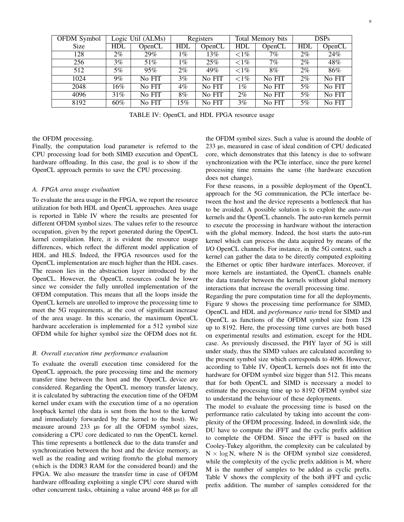| OFDM Symbol |            | Logic Util (ALMs)   |       | Registers |                  | Total Memory bits |       | <b>DSPs</b> |
|-------------|------------|---------------------|-------|-----------|------------------|-------------------|-------|-------------|
| Size        | <b>HDL</b> | O <sub>pen</sub> CL | HDL   | OpenCL    | HDL              | OpenCL            | HDL   | OpenCL      |
| 128         | $2\%$      | 29%                 | $1\%$ | 13%       | ${<}1\%$         | 7%                | $2\%$ | 24%         |
| 256         | 3%         | 51%                 | 1%    | 25%       | ${<}1\%$         | 7%                | $2\%$ | 48%         |
| 512         | 5%         | 95%                 | $2\%$ | 49%       | ${<}1\%$         | 8%                | $2\%$ | 86%         |
| 1024        | $9\%$      | No FIT              | 3%    | No FIT    | ${<}1\%$         | No FIT            | $2\%$ | No FIT      |
| 2048        | 16%        | No FIT              | 4%    | No FIT    | 1%               | No FIT            | 5%    | No FIT      |
| 4096        | 31%        | No FIT              | 8%    | No FIT    | $2\%$            | No FIT            | 5%    | No FIT      |
| 8192        | 60%        | No FIT              | 15%   | No FIT    | $3\overline{\%}$ | No FIT            | 5%    | No FIT      |

TABLE IV: OpenCL and HDL FPGA resource usage

the OFDM processing.

Finally, the computation load parameter is referred to the CPU processing load for both SIMD execution and OpenCL hardware offloading. In this case, the goal is to show if the OpenCL approach permits to save the CPU processing.

## *A. FPGA area usage evaluation*

To evaluate the area usage in the FPGA, we report the resource utilization for both HDL and OpenCL approaches. Area usage is reported in Table IV where the results are presented for different OFDM symbol sizes. The values refer to the resource occupation, given by the report generated during the OpenCL kernel compilation. Here, it is evident the resource usage differences, which reflect the different model application of HDL and HLS. Indeed, the FPGA resources used for the OpenCL implementation are much higher than the HDL cases. The reason lies in the abstraction layer introduced by the OpenCL. However, the OpenCL resources could be lower since we consider the fully unrolled implementation of the OFDM computation. This means that all the loops inside the OpenCL kernels are unrolled to improve the processing time to meet the 5G requirements, at the cost of significant increase of the area usage. In this scenario, the maximum OpenCL hardware acceleration is implemented for a 512 symbol size OFDM while for higher symbol size the OFDM does not fit.

## *B. Overall execution time performance evaluation*

To evaluate the overall execution time considered for the OpenCL approach, the pure processing time and the memory transfer time between the host and the OpenCL device are considered. Regarding the OpenCL memory transfer latency, it is calculated by subtracting the execution time of the OFDM kernel under exam with the execution time of a no operation loopback kernel (the data is sent from the host to the kernel and immediately forwarded by the kernel to the host). We measure around 233 us for all the OFDM symbol sizes, considering a CPU core dedicated to run the OpenCL kernel. This time represents a bottleneck due to the data transfer and synchronization between the host and the device memory, as well as the reading and writing from/to the global memory (which is the DDR3 RAM for the considered board) and the FPGA. We also measure the transfer time in case of OFDM hardware offloading exploiting a single CPU core shared with other concurrent tasks, obtaining a value around 468 µs for all

the OFDM symbol sizes. Such a value is around the double of 233 µs, measured in case of ideal condition of CPU dedicated core, which demonstrates that this latency is due to software synchronization with the PCIe interface, since the pure kernel processing time remains the same (the hardware execution does not change).

For these reasons, in a possible deployment of the OpenCL approach for the 5G communication, the PCIe interface between the host and the device represents a bottleneck that has to be avoided. A possible solution is to exploit the *auto-run* kernels and the OpenCL channels. The auto-run kernels permit to execute the processing in hardware without the interaction with the global memory. Indeed, the host starts the auto-run kernel which can process the data acquired by means of the I/O OpenCL channels. For instance, in the 5G context, such a kernel can gather the data to be directly computed exploiting the Ethernet or optic fiber hardware interfaces. Moreover, if more kernels are instantiated, the OpenCL channels enable the data transfer between the kernels without global memory interactions that increase the overall processing time.

Regarding the pure computation time for all the deployments, Figure 9 shows the processing time performance for SIMD, OpenCL and HDL and *performance ratio* trend for SIMD and OpenCL as functions of the OFDM symbol size from 128 up to 8192. Here, the processing time curves are both based on experimental results and estimation, except for the HDL case. As previously discussed, the PHY layer of 5G is still under study, thus the SIMD values are calculated according to the present symbol size which corresponds to 4096. However, according to Table IV, OpenCL kernels does not fit into the hardware for OFDM symbol size bigger than 512. This means that for both OpenCL and SIMD is necessary a model to estimate the processing time up to 8192 OFDM symbol size to understand the behaviour of these deployments.

The model to evaluate the processing time is based on the performance ratio calculated by taking into account the complexity of the OFDM processing. Indeed, in downlink side, the DU have to compute the iFFT and the cyclic prefix addition to complete the OFDM. Since the iFFT is based on the Cooley-Tukey algorithm, the complexity can be calculated by  $N \times \log N$ , where N is the OFDM symbol size considered, while the complexity of the cyclic prefix addition is M, where M is the number of samples to be added as cyclic prefix. Table V shows the complexity of the both iFFT and cyclic prefix addition. The number of samples considered for the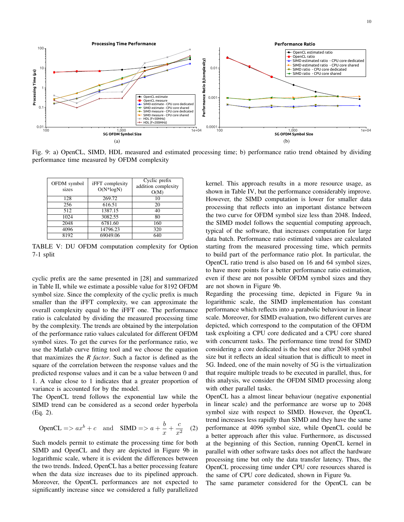10



Fig. 9: a) OpenCL, SIMD, HDL measured and estimated processing time; b) performance ratio trend obtained by dividing performance time measured by OFDM complexity

| OFDM symbol<br>sizes | iFFT complexity<br>$O(N^*logN)$ | Cyclic prefix<br>addition complexity<br>O(M) |
|----------------------|---------------------------------|----------------------------------------------|
| 128                  | 269.72                          | 10                                           |
| 256                  | 616.51                          | 20                                           |
| 512                  | 1387.15                         | 40                                           |
| 1024                 | 3082.55                         | 80                                           |
| 2048                 | 6781.60                         | 160                                          |
| 4096                 | 14796.23                        | 320                                          |
| 8192                 | 69049.06                        | 640                                          |

TABLE V: DU OFDM computation complexity for Option 7-1 split

cyclic prefix are the same presented in [28] and summarized in Table II, while we estimate a possible value for 8192 OFDM symbol size. Since the complexity of the cyclic prefix is much smaller than the iFFT complexity, we can approximate the overall complexity equal to the iFFT one. The performance ratio is calculated by dividing the measured processing time by the complexity. The trends are obtained by the interpolation of the performance ratio values calculated for different OFDM symbol sizes. To get the curves for the performance ratio, we use the Matlab curve fitting tool and we choose the equation that maximizes the *R factor*. Such a factor is defined as the square of the correlation between the response values and the predicted response values and it can be a value between 0 and 1. A value close to 1 indicates that a greater proportion of variance is accounted for by the model.

The OpenCL trend follows the exponential law while the SIMD trend can be considered as a second order hyperbola (Eq. 2).

$$
\text{OpenCL} \Longrightarrow ax^b + c \quad \text{and} \quad \text{SIMD} \Longrightarrow a + \frac{b}{x} + \frac{c}{x^2} \quad (2)
$$

Such models permit to estimate the processing time for both SIMD and OpenCL and they are depicted in Figure 9b in logarithmic scale, where it is evident the differences between the two trends. Indeed, OpenCL has a better processing feature when the data size increases due to its pipelined approach. Moreover, the OpenCL performances are not expected to significantly increase since we considered a fully parallelized

kernel. This approach results in a more resource usage, as shown in Table IV, but the performance considerably improve. However, the SIMD computation is lower for smaller data processing that reflects into an important distance between the two curve for OFDM symbol size less than 2048. Indeed, the SIMD model follows the sequential computing approach, typical of the software, that increases computation for large data batch. Performance ratio estimated values are calculated starting from the measured processing time, which permits to build part of the performance ratio plot. In particular, the OpenCL ratio trend is also based on 16 and 64 symbol sizes, to have more points for a better performance ratio estimation, even if these are not possible OFDM symbol sizes and they are not shown in Figure 9b.

Regarding the processing time, depicted in Figure 9a in logarithmic scale, the SIMD implementation has constant performance which reflects into a parabolic behaviour in linear scale. Moreover, for SIMD evaluation, two different curves are depicted, which correspond to the computation of the OFDM task exploiting a CPU core dedicated and a CPU core shared with concurrent tasks. The performance time trend for SIMD considering a core dedicated is the best one after 2048 symbol size but it reflects an ideal situation that is difficult to meet in 5G. Indeed, one of the main novelty of 5G is the virtualization that require multiple treads to be executed in parallel, thus, for this analysis, we consider the OFDM SIMD processing along with other parallel tasks.

OpenCL has a almost linear behaviour (negative exponential in linear scale) and the performance are worse up to 2048 symbol size with respect to SIMD. However, the OpenCL trend increases less rapidly than SIMD and they have the same performance at 4096 symbol size, while OpenCL could be a better approach after this value. Furthermore, as discussed at the beginning of this Section, running OpenCL kernel in parallel with other software tasks does not affect the hardware processing time but only the data transfer latency. Thus, the OpenCL processing time under CPU core resources shared is the same of CPU core dedicated, shown in Figure 9a.

The same parameter considered for the OpenCL can be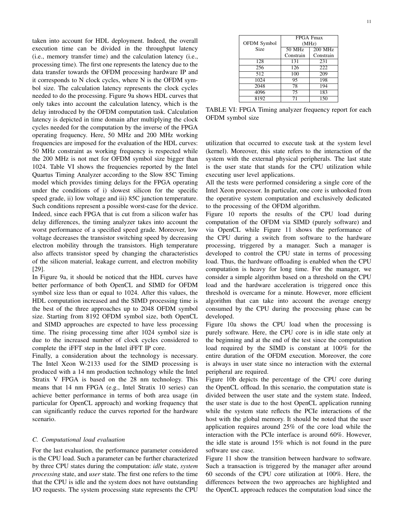taken into account for HDL deployment. Indeed, the overall execution time can be divided in the throughput latency (i.e., memory transfer time) and the calculation latency (i.e., processing time). The first one represents the latency due to the data transfer towards the OFDM processing hardware IP and it corresponds to N clock cycles, where N is the OFDM symbol size. The calculation latency represents the clock cycles needed to do the processing. Figure 9a shows HDL curves that only takes into account the calculation latency, which is the delay introduced by the OFDM computation task. Calculation latency is depicted in time domain after multiplying the clock cycles needed for the computation by the inverse of the FPGA operating frequency. Here, 50 MHz and 200 MHz working frequencies are imposed for the evaluation of the HDL curves: 50 MHz constraint as working frequency is respected while the 200 MHz is not met for OFDM symbol size bigger than 1024. Table VI shows the frequencies reported by the Intel Quartus Timing Analyzer according to the Slow 85C Timing model which provides timing delays for the FPGA operating under the conditions of i) slowest silicon for the specific speed grade, ii) low voltage and iii) 85C junction temperature. Such conditions represent a possible worst-case for the device. Indeed, since each FPGA that is cut from a silicon wafer has delay differences, the timing analyzer takes into account the worst performance of a specified speed grade. Moreover, low voltage decreases the transistor switching speed by decreasing electron mobility through the transistors. High temperature also affects transistor speed by changing the characteristics of the silicon material, leakage current, and electron mobility [29].

In Figure 9a, it should be noticed that the HDL curves have better performance of both OpenCL and SIMD for OFDM symbol size less than or equal to 1024. After this values, the HDL computation increased and the SIMD processing time is the best of the three approaches up to 2048 OFDM symbol size. Starting from 8192 OFDM symbol size, both OpenCL and SIMD approaches are expected to have less processing time. The rising processing time after 1024 symbol size is due to the increased number of clock cycles considered to complete the iFFT step in the Intel iFFT IP core.

Finally, a consideration about the technology is necessary. The Intel Xeon W-2133 used for the SIMD processing is produced with a 14 nm production technology while the Intel Stratix V FPGA is based on the 28 nm technology. This means that 14 nm FPGA (e.g., Intel Stratix 10 series) can achieve better performance in terms of both area usage (in particular for OpenCL approach) and working frequency that can significantly reduce the curves reported for the hardware scenario.

#### *C. Computational load evaluation*

For the last evaluation, the performance parameter considered is the CPU load. Such a parameter can be further characterized by three CPU states during the computation: *idle* state, *system processing* state, and *user* state. The first one refers to the time that the CPU is idle and the system does not have outstanding I/O requests. The system processing state represents the CPU

|             | FPGA Fmax |           |  |  |
|-------------|-----------|-----------|--|--|
| OFDM Symbol | (MHz)     |           |  |  |
| Size        | 50 MHz    | 200 MHz   |  |  |
|             | Constrain | Constrain |  |  |
| 128         | 131       | 231       |  |  |
| 256         | 126       | 222       |  |  |
| 512         | 100       | 209       |  |  |
| 1024        | 95        | 198       |  |  |
| 2048        | 78        | 194       |  |  |
| 4096        | 75        | 183       |  |  |
| 8192        |           | 150       |  |  |

TABLE VI: FPGA Timing analyzer frequency report for each OFDM symbol size

utilization that occurred to execute task at the system level (kernel). Moreover, this state refers to the interaction of the system with the external physical peripherals. The last state is the user state that stands for the CPU utilization while executing user level applications.

All the tests were performed considering a single core of the Intel Xeon processor. In particular, one core is unhooked from the operative system computation and exclusively dedicated to the processing of the OFDM algorithm.

Figure 10 reports the results of the CPU load during computation of the OFDM via SIMD (purely software) and via OpenCL while Figure 11 shows the performance of the CPU during a switch from software to the hardware processing, triggered by a manager. Such a manager is developed to control the CPU state in terms of processing load. Thus, the hardware offloading is enabled when the CPU computation is heavy for long time. For the manager, we consider a simple algorithm based on a threshold on the CPU load and the hardware acceleration is triggered once this threshold is overcame for a minute. However, more efficient algorithm that can take into account the average energy consumed by the CPU during the processing phase can be developed.

Figure 10a shows the CPU load when the processing is purely software. Here, the CPU core is in idle state only at the beginning and at the end of the test since the computation load required by the SIMD is constant at 100% for the entire duration of the OFDM execution. Moreover, the core is always in user state since no interaction with the external peripheral are required.

Figure 10b depicts the percentage of the CPU core during the OpenCL offload. In this scenario, the computation state is divided between the user state and the system state. Indeed, the user state is due to the host OpenCL application running while the system state reflects the PCIe interactions of the host with the global memory. It should be noted that the user application requires around 25% of the core load while the interaction with the PCIe interface is around 60%. However, the idle state is around 15% which is not found in the pure software use case.

Figure 11 show the transition between hardware to software. Such a transaction is triggered by the manager after around 60 seconds of the CPU core utilization at 100%. Here, the differences between the two approaches are highlighted and the OpenCL approach reduces the computation load since the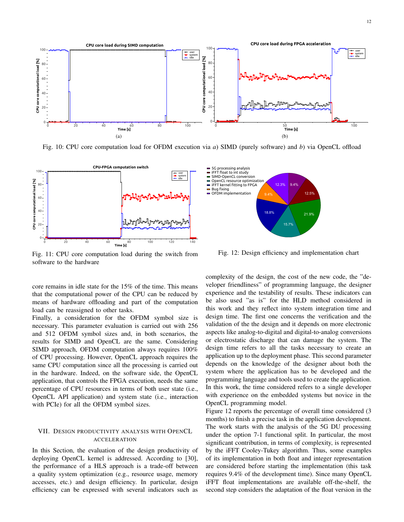12



Fig. 10: CPU core computation load for OFDM execution via *a*) SIMD (purely software) and *b*) via OpenCL offload



Fig. 11: CPU core computation load during the switch from software to the hardware

core remains in idle state for the 15% of the time. This means that the computational power of the CPU can be reduced by means of hardware offloading and part of the computation load can be reassigned to other tasks.

Finally, a consideration for the OFDM symbol size is necessary. This parameter evaluation is carried out with 256 and 512 OFDM symbol sizes and, in both scenarios, the results for SIMD and OpenCL are the same. Considering SIMD approach, OFDM computation always requires 100% of CPU processing. However, OpenCL approach requires the same CPU computation since all the processing is carried out in the hardware. Indeed, on the software side, the OpenCL application, that controls the FPGA execution, needs the same percentage of CPU resources in terms of both user state (i.e., OpenCL API application) and system state (i.e., interaction with PCIe) for all the OFDM symbol sizes.

# VII. DESIGN PRODUCTIVITY ANALYSIS WITH OPENCL ACCELERATION

In this Section, the evaluation of the design productivity of deploying OpenCL kernel is addressed. According to [30], the performance of a HLS approach is a trade-off between a quality system optimization (e.g., resource usage, memory accesses, etc.) and design efficiency. In particular, design efficiency can be expressed with several indicators such as



Fig. 12: Design efficiency and implementation chart

complexity of the design, the cost of the new code, the "developer friendliness" of programming language, the designer experience and the testability of results. These indicators can be also used "as is" for the HLD method considered in this work and they reflect into system integration time and design time. The first one concerns the verification and the validation of the the design and it depends on more electronic aspects like analog-to-digital and digital-to-analog conversions or electrostatic discharge that can damage the system. The design time refers to all the tasks necessary to create an application up to the deployment phase. This second parameter depends on the knowledge of the designer about both the system where the application has to be developed and the programming language and tools used to create the application. In this work, the time considered refers to a single developer with experience on the embedded systems but novice in the OpenCL programming model.

Figure 12 reports the percentage of overall time considered (3 months) to finish a precise task in the application development. The work starts with the analysis of the 5G DU processing under the option 7-1 functional split. In particular, the most significant contribution, in terms of complexity, is represented by the iFFT Cooley-Tukey algorithm. Thus, some examples of its implementation in both float and integer representation are considered before starting the implementation (this task requires 9.4% of the development time). Since many OpenCL iFFT float implementations are available off-the-shelf, the second step considers the adaptation of the float version in the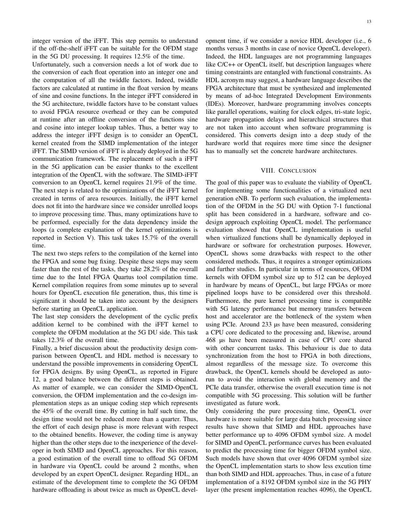integer version of the iFFT. This step permits to understand if the off-the-shelf iFFT can be suitable for the OFDM stage in the 5G DU processing. It requires 12.5% of the time.

Unfortunately, such a conversion needs a lot of work due to the conversion of each float operation into an integer one and the computation of all the twiddle factors. Indeed, twiddle factors are calculated at runtime in the float version by means of sine and cosine functions. In the integer iFFT considered in the 5G architecture, twiddle factors have to be constant values to avoid FPGA resource overhead or they can be computed at runtime after an offline conversion of the functions sine and cosine into integer lookup tables. Thus, a better way to address the integer iFFT design is to consider an OpenCL kernel created from the SIMD implementation of the integer iFFT. The SIMD version of iFFT is already deployed in the 5G communication framework. The replacement of such a iFFT in the 5G application can be easier thanks to the excellent integration of the OpenCL with the software. The SIMD-iFFT conversion to an OpenCL kernel requires 21.9% of the time. The next step is related to the optimizations of the iFFT kernel created in terms of area resources. Initially, the iFFT kernel does not fit into the hardware since we consider unrolled loops to improve processing time. Thus, many optimizations have to be performed, especially for the data dependency inside the loops (a complete explanation of the kernel optimizations is reported in Section V). This task takes 15.7% of the overall time.

The next two steps refers to the compilation of the kernel into the FPGA and some bug fixing. Despite these steps may seem faster than the rest of the tasks, they take 28.2% of the overall time due to the Intel FPGA Quartus tool compilation time. Kernel compilation requires from some minutes up to several hours for OpenCL execution file generation, thus, this time is significant it should be taken into account by the designers before starting an OpenCL application.

The last step considers the development of the cyclic prefix addition kernel to be combined with the iFFT kernel to complete the OFDM modulation at the 5G DU side. This task takes 12.3% of the overall time.

Finally, a brief discussion about the productivity design comparison between OpenCL and HDL method is necessary to understand the possible improvements in considering OpenCL for FPGA designs. By using OpenCL, as reported in Figure 12, a good balance between the different steps is obtained. As matter of example, we can consider the SIMD-OpenCL conversion, the OFDM implementation and the co-design implementation steps as an unique coding step which represents the 45% of the overall time. By cutting in half such time, the design time would not be reduced more than a quarter. Thus, the effort of each design phase is more relevant with respect to the obtained benefits. However, the coding time is anyway higher than the other steps due to the inexperience of the developer in both SIMD and OpenCL approaches. For this reason, a good estimation of the overall time to offload 5G OFDM in hardware via OpenCL could be around 2 months, when developed by an expert OpenCL designer. Regarding HDL, an estimate of the development time to complete the 5G OFDM hardware offloading is about twice as much as OpenCL devel13

opment time, if we consider a novice HDL developer (i.e., 6 months versus 3 months in case of novice OpenCL developer). Indeed, the HDL languages are not programming languages like C/C++ or OpenCL itself, but description languages where timing constraints are entangled with functional constraints. As HDL acronym may suggest, a hardware language describes the FPGA architecture that must be synthesized and implemented by means of ad-hoc Integrated Development Environments (IDEs). Moreover, hardware programming involves concepts like parallel operations, waiting for clock edges, tri-state logic, hardware propagation delays and hierarchical structures that are not taken into account when software programming is considered. This converts design into a deep study of the hardware world that requires more time since the designer has to manually set the concrete hardware architectures.

## VIII. CONCLUSION

The goal of this paper was to evaluate the viability of OpenCL for implementing some functionalities of a virtualized next generation eNB. To perform such evaluation, the implementation of the OFDM in the 5G DU with Option 7-1 functional split has been considered in a hardware, software and codesign approach exploiting OpenCL model. The performance evaluation showed that OpenCL implementation is useful when virtualized functions shall be dynamically deployed in hardware or software for orchestration purposes. However, OpenCL shows some drawbacks with respect to the other considered methods. Thus, it requires a stronger optimizations and further studies. In particular in terms of resources, OFDM kernels with OFDM symbol size up to 512 can be deployed in hardware by means of OpenCL, but large FPGAs or more pipelined loops have to be considered over this threshold. Furthermore, the pure kernel processing time is compatible with 5G latency performance but memory transfers between host and accelerator are the bottleneck of the system when using PCIe. Around 233 µs have been measured, considering a CPU core dedicated to the processing and, likewise, around 468 µs have been measured in case of CPU core shared with other concurrent tasks. This behaviour is due to data synchronization from the host to FPGA in both directions, almost regardless of the message size. To overcome this drawback, the OpenCL kernels should be developed as autorun to avoid the interaction with global memory and the PCIe data transfer, otherwise the overall execution time is not compatible with 5G processing. This solution will be further investigated as future work.

Only considering the pure processing time, OpenCL over hardware is more suitable for large data batch processing since results have shown that SIMD and HDL approaches have better performance up to 4096 OFDM symbol size. A model for SIMD and OpenCL performance curves has been evaluated to predict the processing time for bigger OFDM symbol size. Such models have shown that over 4096 OFDM symbol size the OpenCL implementation starts to show less excution time than both SIMD and HDL approaches. Thus, in case of a future implementation of a 8192 OFDM symbol size in the 5G PHY layer (the present implementation reaches 4096), the OpenCL